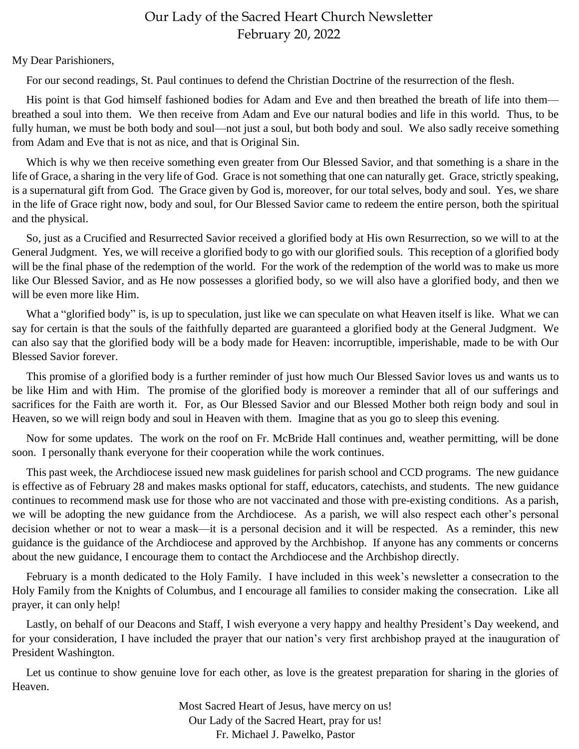## Our Lady of the Sacred Heart Church Newsletter February 20, 2022

## My Dear Parishioners,

For our second readings, St. Paul continues to defend the Christian Doctrine of the resurrection of the flesh.

His point is that God himself fashioned bodies for Adam and Eve and then breathed the breath of life into them breathed a soul into them. We then receive from Adam and Eve our natural bodies and life in this world. Thus, to be fully human, we must be both body and soul—not just a soul, but both body and soul. We also sadly receive something from Adam and Eve that is not as nice, and that is Original Sin.

 Which is why we then receive something even greater from Our Blessed Savior, and that something is a share in the life of Grace, a sharing in the very life of God. Grace is not something that one can naturally get. Grace, strictly speaking, is a supernatural gift from God. The Grace given by God is, moreover, for our total selves, body and soul. Yes, we share in the life of Grace right now, body and soul, for Our Blessed Savior came to redeem the entire person, both the spiritual and the physical.

 So, just as a Crucified and Resurrected Savior received a glorified body at His own Resurrection, so we will to at the General Judgment. Yes, we will receive a glorified body to go with our glorified souls. This reception of a glorified body will be the final phase of the redemption of the world. For the work of the redemption of the world was to make us more like Our Blessed Savior, and as He now possesses a glorified body, so we will also have a glorified body, and then we will be even more like Him.

What a "glorified body" is, is up to speculation, just like we can speculate on what Heaven itself is like. What we can say for certain is that the souls of the faithfully departed are guaranteed a glorified body at the General Judgment. We can also say that the glorified body will be a body made for Heaven: incorruptible, imperishable, made to be with Our Blessed Savior forever.

 This promise of a glorified body is a further reminder of just how much Our Blessed Savior loves us and wants us to be like Him and with Him. The promise of the glorified body is moreover a reminder that all of our sufferings and sacrifices for the Faith are worth it. For, as Our Blessed Savior and our Blessed Mother both reign body and soul in Heaven, so we will reign body and soul in Heaven with them. Imagine that as you go to sleep this evening.

 Now for some updates. The work on the roof on Fr. McBride Hall continues and, weather permitting, will be done soon. I personally thank everyone for their cooperation while the work continues.

 This past week, the Archdiocese issued new mask guidelines for parish school and CCD programs. The new guidance is effective as of February 28 and makes masks optional for staff, educators, catechists, and students. The new guidance continues to recommend mask use for those who are not vaccinated and those with pre-existing conditions. As a parish, we will be adopting the new guidance from the Archdiocese. As a parish, we will also respect each other's personal decision whether or not to wear a mask—it is a personal decision and it will be respected. As a reminder, this new guidance is the guidance of the Archdiocese and approved by the Archbishop. If anyone has any comments or concerns about the new guidance, I encourage them to contact the Archdiocese and the Archbishop directly.

 February is a month dedicated to the Holy Family. I have included in this week's newsletter a consecration to the Holy Family from the Knights of Columbus, and I encourage all families to consider making the consecration. Like all prayer, it can only help!

 Lastly, on behalf of our Deacons and Staff, I wish everyone a very happy and healthy President's Day weekend, and for your consideration, I have included the prayer that our nation's very first archbishop prayed at the inauguration of President Washington.

 Let us continue to show genuine love for each other, as love is the greatest preparation for sharing in the glories of Heaven.

> Most Sacred Heart of Jesus, have mercy on us! Our Lady of the Sacred Heart, pray for us! Fr. Michael J. Pawelko, Pastor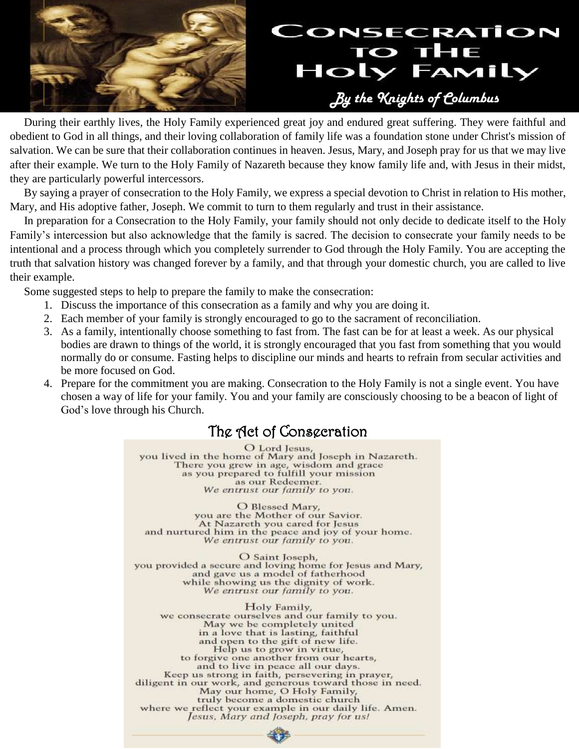

 During their earthly lives, the Holy Family experienced great joy and endured great suffering. They were faithful and obedient to God in all things, and their loving collaboration of family life was a foundation stone under Christ's mission of salvation. We can be sure that their collaboration continues in heaven. Jesus, Mary, and Joseph pray for us that we may live after their example. We turn to the Holy Family of Nazareth because they know family life and, with Jesus in their midst, they are particularly powerful intercessors.

 By saying a prayer of consecration to the Holy Family, we express a special devotion to Christ in relation to His mother, Mary, and His adoptive father, Joseph. We commit to turn to them regularly and trust in their assistance.

 In preparation for a Consecration to the Holy Family, your family should not only decide to dedicate itself to the Holy Family's intercession but also acknowledge that the family is sacred. The decision to consecrate your family needs to be intentional and a process through which you completely surrender to God through the Holy Family. You are accepting the truth that salvation history was changed forever by a family, and that through your domestic church, you are called to live their example.

Some suggested steps to help to prepare the family to make the consecration:

- 1. Discuss the importance of this consecration as a family and why you are doing it.
- 2. Each member of your family is strongly encouraged to go to the sacrament of reconciliation.
- 3. As a family, intentionally choose something to fast from. The fast can be for at least a week. As our physical bodies are drawn to things of the world, it is strongly encouraged that you fast from something that you would normally do or consume. Fasting helps to discipline our minds and hearts to refrain from secular activities and be more focused on God.
- 4. Prepare for the commitment you are making. Consecration to the Holy Family is not a single event. You have chosen a way of life for your family. You and your family are consciously choosing to be a beacon of light of God's love through his Church.

## The Act of Consecration

O Lord Jesus, you lived in the home of Mary and Joseph in Nazareth. There you grew in age, wisdom and grace<br>as you prepared to fulfill your mission as our Redeemer. We entrust our family to you.

O Blessed Mary, you are the Mother of our Savior. At Nazareth you cared for Jesus and nurtured him in the peace and joy of your home. We entrust our family to you.

O Saint Joseph, you provided a secure and loving home for Jesus and Mary, and gave us a model of fatherhood while showing us the dignity of work. We entrust our family to you.

Holy Family, we consecrate ourselves and our family to you. May we be completely united<br>in a love that is lasting, faithful and open to the gift of new life. Help us to grow in virtue, to forgive one another from our hearts, and to live in peace all our days. Keep us strong in faith, persevering in prayer,<br>diligent in our work, and generous toward those in need. May our home, O Holy Family, truly become a domestic church where we reflect your example in our daily life. Amen. Jesus, Mary and Joseph, pray for us!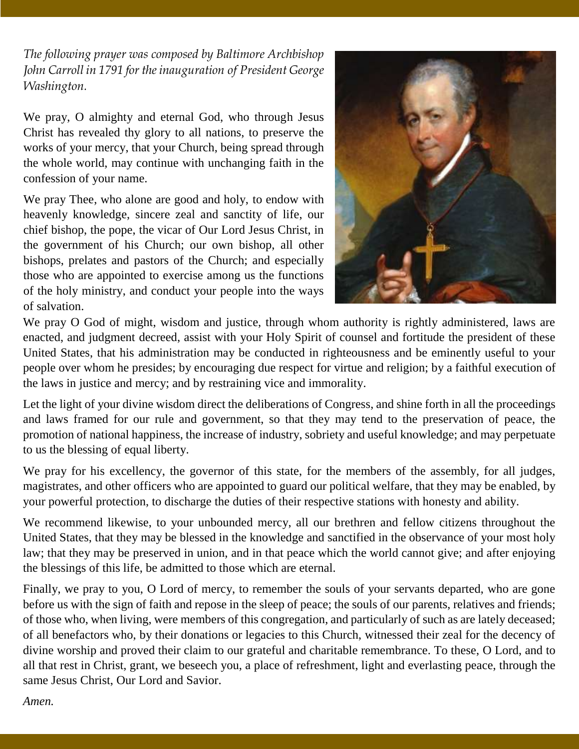*The following prayer was composed by Baltimore Archbishop John Carroll in 1791 for the inauguration of President George Washington.*

We pray, O almighty and eternal God, who through Jesus Christ has revealed thy glory to all nations, to preserve the works of your mercy, that your Church, being spread through the whole world, may continue with unchanging faith in the confession of your name.

We pray Thee, who alone are good and holy, to endow with heavenly knowledge, sincere zeal and sanctity of life, our chief bishop, the pope, the vicar of Our Lord Jesus Christ, in the government of his Church; our own bishop, all other bishops, prelates and pastors of the Church; and especially those who are appointed to exercise among us the functions of the holy ministry, and conduct your people into the ways of salvation.



We pray O God of might, wisdom and justice, through whom authority is rightly administered, laws are enacted, and judgment decreed, assist with your Holy Spirit of counsel and fortitude the president of these United States, that his administration may be conducted in righteousness and be eminently useful to your people over whom he presides; by encouraging due respect for virtue and religion; by a faithful execution of the laws in justice and mercy; and by restraining vice and immorality.

Let the light of your divine wisdom direct the deliberations of Congress, and shine forth in all the proceedings and laws framed for our rule and government, so that they may tend to the preservation of peace, the promotion of national happiness, the increase of industry, sobriety and useful knowledge; and may perpetuate to us the blessing of equal liberty.

We pray for his excellency, the governor of this state, for the members of the assembly, for all judges, magistrates, and other officers who are appointed to guard our political welfare, that they may be enabled, by your powerful protection, to discharge the duties of their respective stations with honesty and ability.

We recommend likewise, to your unbounded mercy, all our brethren and fellow citizens throughout the United States, that they may be blessed in the knowledge and sanctified in the observance of your most holy law; that they may be preserved in union, and in that peace which the world cannot give; and after enjoying the blessings of this life, be admitted to those which are eternal.

Finally, we pray to you, O Lord of mercy, to remember the souls of your servants departed, who are gone before us with the sign of faith and repose in the sleep of peace; the souls of our parents, relatives and friends; of those who, when living, were members of this congregation, and particularly of such as are lately deceased; of all benefactors who, by their donations or legacies to this Church, witnessed their zeal for the decency of divine worship and proved their claim to our grateful and charitable remembrance. To these, O Lord, and to all that rest in Christ, grant, we beseech you, a place of refreshment, light and everlasting peace, through the same Jesus Christ, Our Lord and Savior.

*Amen.*